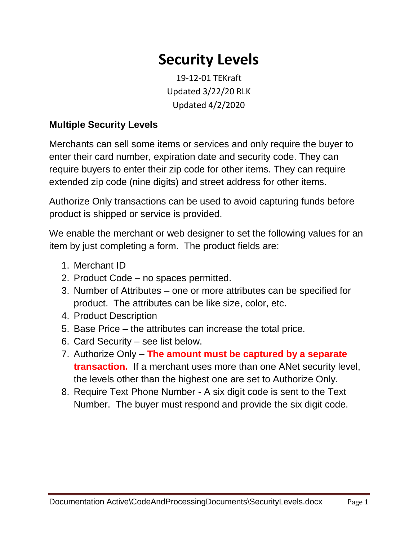## **Security Levels**

19-12-01 TEKraft Updated 3/22/20 RLK Updated 4/2/2020

## **Multiple Security Levels**

Merchants can sell some items or services and only require the buyer to enter their card number, expiration date and security code. They can require buyers to enter their zip code for other items. They can require extended zip code (nine digits) and street address for other items.

Authorize Only transactions can be used to avoid capturing funds before product is shipped or service is provided.

We enable the merchant or web designer to set the following values for an item by just completing a form. The product fields are:

- 1. Merchant ID
- 2. Product Code no spaces permitted.
- 3. Number of Attributes one or more attributes can be specified for product. The attributes can be like size, color, etc.
- 4. Product Description
- 5. Base Price the attributes can increase the total price.
- 6. Card Security see list below.
- 7. Authorize Only **The amount must be captured by a separate transaction.** If a merchant uses more than one ANet security level, the levels other than the highest one are set to Authorize Only.
- 8. Require Text Phone Number A six digit code is sent to the Text Number. The buyer must respond and provide the six digit code.